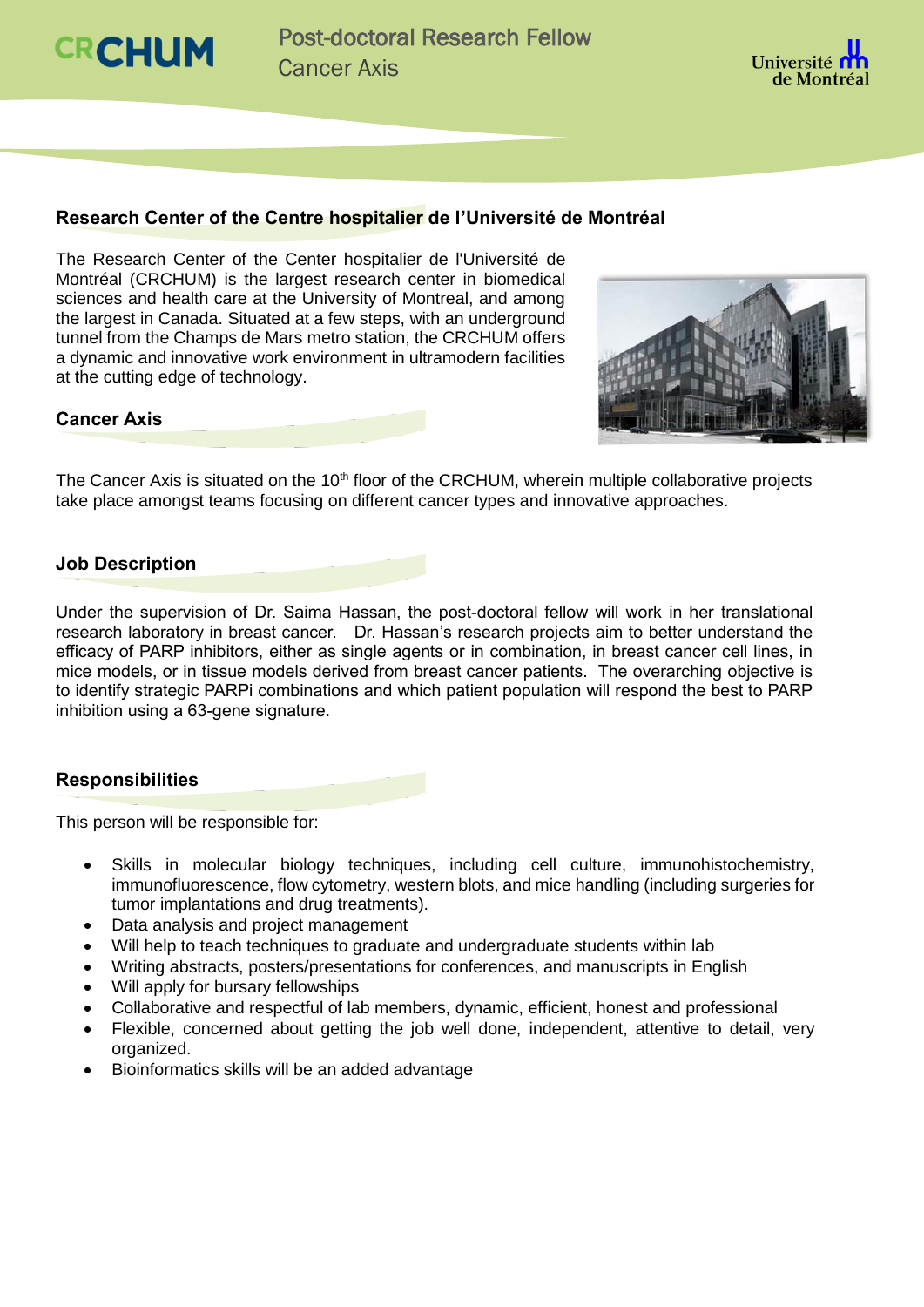



## **Research Center of the Centre hospitalier de l'Université de Montréal**

The Research Center of the Center hospitalier de l'Université de Montréal (CRCHUM) is the largest research center in biomedical sciences and health care at the University of Montreal, and among the largest in Canada. Situated at a few steps, with an underground tunnel from the Champs de Mars metro station, the CRCHUM offers a dynamic and innovative work environment in ultramodern facilities at the cutting edge of technology.



#### **Cancer Axis**

The Cancer Axis is situated on the 10<sup>th</sup> floor of the CRCHUM, wherein multiple collaborative projects take place amongst teams focusing on different cancer types and innovative approaches.

### **Job Description**

Under the supervision of Dr. Saima Hassan, the post-doctoral fellow will work in her translational research laboratory in breast cancer. Dr. Hassan's research projects aim to better understand the efficacy of PARP inhibitors, either as single agents or in combination, in breast cancer cell lines, in mice models, or in tissue models derived from breast cancer patients. The overarching objective is to identify strategic PARPi combinations and which patient population will respond the best to PARP inhibition using a 63-gene signature.

### **Responsibilities**

This person will be responsible for:

- Skills in molecular biology techniques, including cell culture, immunohistochemistry, immunofluorescence, flow cytometry, western blots, and mice handling (including surgeries for tumor implantations and drug treatments).
- Data analysis and project management
- Will help to teach techniques to graduate and undergraduate students within lab
- Writing abstracts, posters/presentations for conferences, and manuscripts in English
- Will apply for bursary fellowships
- Collaborative and respectful of lab members, dynamic, efficient, honest and professional
- Flexible, concerned about getting the job well done, independent, attentive to detail, very organized.
- Bioinformatics skills will be an added advantage